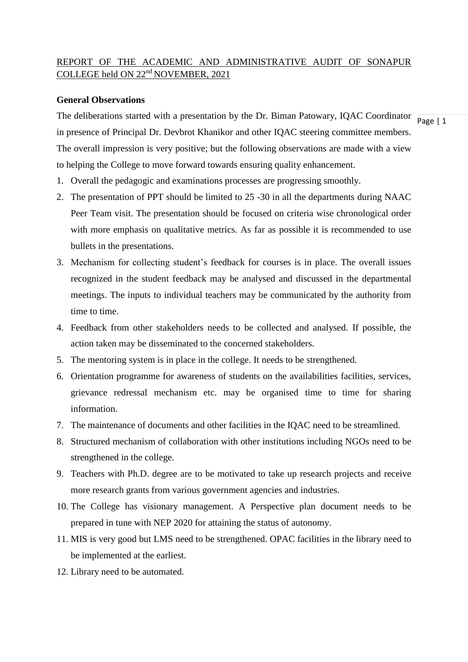# REPORT OF THE ACADEMIC AND ADMINISTRATIVE AUDIT OF SONAPUR COLLEGE held ON 22<sup>nd</sup> NOVEMBER, 2021

## **General Observations**

The deliberations started with a presentation by the Dr. Biman Patowary, IQAC Coordinator  $\frac{1}{\text{Page } |1}$ in presence of Principal Dr. Devbrot Khanikor and other IQAC steering committee members. The overall impression is very positive; but the following observations are made with a view to helping the College to move forward towards ensuring quality enhancement.

- 1. Overall the pedagogic and examinations processes are progressing smoothly.
- 2. The presentation of PPT should be limited to 25 -30 in all the departments during NAAC Peer Team visit. The presentation should be focused on criteria wise chronological order with more emphasis on qualitative metrics. As far as possible it is recommended to use bullets in the presentations.
- 3. Mechanism for collecting student's feedback for courses is in place. The overall issues recognized in the student feedback may be analysed and discussed in the departmental meetings. The inputs to individual teachers may be communicated by the authority from time to time.
- 4. Feedback from other stakeholders needs to be collected and analysed. If possible, the action taken may be disseminated to the concerned stakeholders.
- 5. The mentoring system is in place in the college. It needs to be strengthened.
- 6. Orientation programme for awareness of students on the availabilities facilities, services, grievance redressal mechanism etc. may be organised time to time for sharing information.
- 7. The maintenance of documents and other facilities in the IQAC need to be streamlined.
- 8. Structured mechanism of collaboration with other institutions including NGOs need to be strengthened in the college.
- 9. Teachers with Ph.D. degree are to be motivated to take up research projects and receive more research grants from various government agencies and industries.
- 10. The College has visionary management. A Perspective plan document needs to be prepared in tune with NEP 2020 for attaining the status of autonomy.
- 11. MIS is very good but LMS need to be strengthened. OPAC facilities in the library need to be implemented at the earliest.
- 12. Library need to be automated.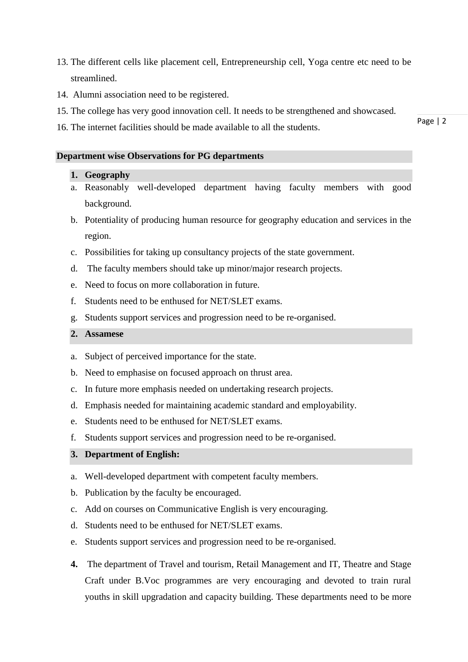- 13. The different cells like placement cell, Entrepreneurship cell, Yoga centre etc need to be streamlined.
- 14. Alumni association need to be registered.
- 15. The college has very good innovation cell. It needs to be strengthened and showcased.
- 16. The internet facilities should be made available to all the students.

### **Department wise Observations for PG departments**

#### **1. Geography**

- a. Reasonably well-developed department having faculty members with good background.
- b. Potentiality of producing human resource for geography education and services in the region.
- c. Possibilities for taking up consultancy projects of the state government.
- d. The faculty members should take up minor/major research projects.
- e. Need to focus on more collaboration in future.
- f. Students need to be enthused for NET/SLET exams.
- g. Students support services and progression need to be re-organised.

## **2. Assamese**

- a. Subject of perceived importance for the state.
- b. Need to emphasise on focused approach on thrust area.
- c. In future more emphasis needed on undertaking research projects.
- d. Emphasis needed for maintaining academic standard and employability.
- e. Students need to be enthused for NET/SLET exams.
- f. Students support services and progression need to be re-organised.

## **3. Department of English:**

- a. Well-developed department with competent faculty members.
- b. Publication by the faculty be encouraged.
- c. Add on courses on Communicative English is very encouraging.
- d. Students need to be enthused for NET/SLET exams.
- e. Students support services and progression need to be re-organised.
- **4.** The department of Travel and tourism, Retail Management and IT, Theatre and Stage Craft under B.Voc programmes are very encouraging and devoted to train rural youths in skill upgradation and capacity building. These departments need to be more

Page | 2